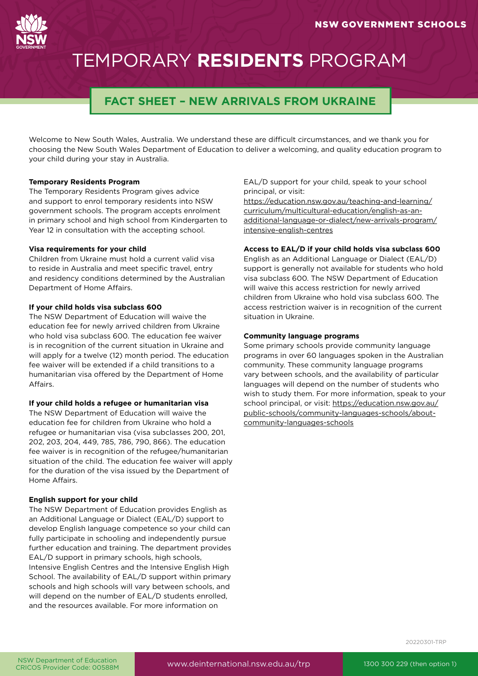# TEMPORARY **RESIDENTS** PROGRAM

# **FACT SHEET – NEW ARRIVALS FROM UKRAINE**

Welcome to New South Wales, Australia. We understand these are difficult circumstances, and we thank you for choosing the New South Wales Department of Education to deliver a welcoming, and quality education program to your child during your stay in Australia.

#### **Temporary Residents Program**

The Temporary Residents Program gives advice and support to enrol temporary residents into NSW government schools. The program accepts enrolment in primary school and high school from Kindergarten to Year 12 in consultation with the accepting school.

#### **Visa requirements for your child**

Children from Ukraine must hold a current valid visa to reside in Australia and meet specific travel, entry and residency conditions determined by the Australian Department of Home Affairs.

### **If your child holds visa subclass 600**

The NSW Department of Education will waive the education fee for newly arrived children from Ukraine who hold visa subclass 600. The education fee waiver is in recognition of the current situation in Ukraine and will apply for a twelve (12) month period. The education fee waiver will be extended if a child transitions to a humanitarian visa offered by the Department of Home Affairs.

#### **If your child holds a refugee or humanitarian visa**

The NSW Department of Education will waive the education fee for children from Ukraine who hold a refugee or humanitarian visa (visa subclasses 200, 201, 202, 203, 204, 449, 785, 786, 790, 866). The education fee waiver is in recognition of the refugee/humanitarian situation of the child. The education fee waiver will apply for the duration of the visa issued by the Department of Home Affairs.

#### **English support for your child**

The NSW Department of Education provides English as an Additional Language or Dialect (EAL/D) support to develop English language competence so your child can fully participate in schooling and independently pursue further education and training. The department provides EAL/D support in primary schools, high schools, Intensive English Centres and the Intensive English High School. The availability of EAL/D support within primary schools and high schools will vary between schools, and will depend on the number of EAL/D students enrolled, and the resources available. For more information on

EAL/D support for your child, speak to your school principal, or visit:

[https://education.nsw.gov.au/teaching-and-learning/](https://education.nsw.gov.au/teaching-and-learning/curriculum/multicultural-education/english-as-an-additional-language-or-dialect/new-arrivals-program/intensive-english-centres) [curriculum/multicultural-education/english-as-an](https://education.nsw.gov.au/teaching-and-learning/curriculum/multicultural-education/english-as-an-additional-language-or-dialect/new-arrivals-program/intensive-english-centres)[additional-language-or-dialect/new-arrivals-program/](https://education.nsw.gov.au/teaching-and-learning/curriculum/multicultural-education/english-as-an-additional-language-or-dialect/new-arrivals-program/intensive-english-centres) [intensive-english-centres](https://education.nsw.gov.au/teaching-and-learning/curriculum/multicultural-education/english-as-an-additional-language-or-dialect/new-arrivals-program/intensive-english-centres)

### **Access to EAL/D if your child holds visa subclass 600**

English as an Additional Language or Dialect (EAL/D) support is generally not available for students who hold visa subclass 600. The NSW Department of Education will waive this access restriction for newly arrived children from Ukraine who hold visa subclass 600. The access restriction waiver is in recognition of the current situation in Ukraine.

#### **Community language programs**

Some primary schools provide community language programs in over 60 languages spoken in the Australian community. These community language programs vary between schools, and the availability of particular languages will depend on the number of students who wish to study them. For more information, speak to your school principal, or visit: [https://education.nsw.gov.au/](https://education.nsw.gov.au/public-schools/community-languages-schools/about-community-languages-schools) [public-schools/community-languages-schools/about](https://education.nsw.gov.au/public-schools/community-languages-schools/about-community-languages-schools)[community-languages-schools](https://education.nsw.gov.au/public-schools/community-languages-schools/about-community-languages-schools)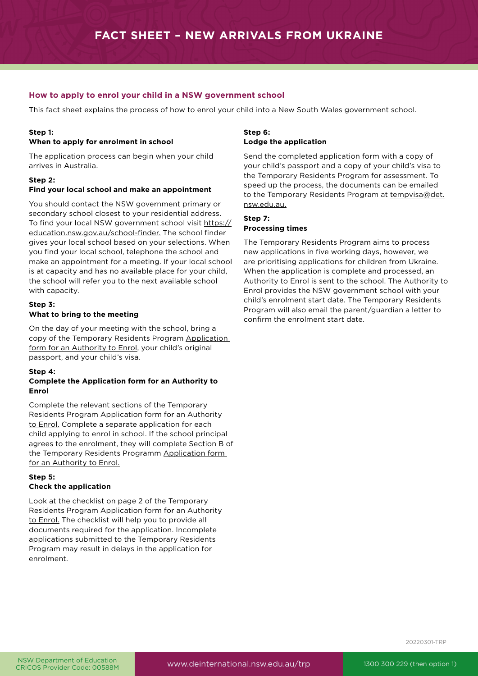# **How to apply to enrol your child in a NSW government school**

This fact sheet explains the process of how to enrol your child into a New South Wales government school.

# **Step 1:**

#### **When to apply for enrolment in school**

The application process can begin when your child arrives in Australia.

# **Step 2:**

#### **Find your local school and make an appointment**

You should contact the NSW government primary or secondary school closest to your residential address. To find your local NSW government school visit [https://](https://schoolfinder.education.nsw.gov.au/) [education.nsw.gov.au/school-finder.](https://schoolfinder.education.nsw.gov.au/) The school finder gives your local school based on your selections. When you find your local school, telephone the school and make an appointment for a meeting. If your local school is at capacity and has no available place for your child, the school will refer you to the next available school with capacity.

#### **Step 3: What to bring to the meeting**

On the day of your meeting with the school, bring a copy of the Temporary Residents Program [Application](https://www.deinternational.nsw.edu.au/__data/assets/pdf_file/0007/17755/17755-Application-Form-for-an-Authority-to-Enrol.pdf)  [form for an Authority to Enrol](https://www.deinternational.nsw.edu.au/__data/assets/pdf_file/0007/17755/17755-Application-Form-for-an-Authority-to-Enrol.pdf), your child's original passport, and your child's visa.

#### **Step 4:**

### **Complete the Application form for an Authority to Enrol**

Complete the relevant sections of the Temporary Residents Program [Application form for an Authority](https://www.deinternational.nsw.edu.au/__data/assets/pdf_file/0007/17755/17755-Application-Form-for-an-Authority-to-Enrol.pdf)  [to Enrol.](https://www.deinternational.nsw.edu.au/__data/assets/pdf_file/0007/17755/17755-Application-Form-for-an-Authority-to-Enrol.pdf) Complete a separate application for each child applying to enrol in school. If the school principal agrees to the enrolment, they will complete Section B of the Temporary Residents Programm [Application form](https://www.deinternational.nsw.edu.au/__data/assets/pdf_file/0007/17755/17755-Application-Form-for-an-Authority-to-Enrol.pdf)  [for an Authority to Enrol.](https://www.deinternational.nsw.edu.au/__data/assets/pdf_file/0007/17755/17755-Application-Form-for-an-Authority-to-Enrol.pdf)

### **Step 5: Check the application**

Look at the checklist on page 2 of the Temporary Residents Program [Application form for an Authority](https://www.deinternational.nsw.edu.au/__data/assets/pdf_file/0007/17755/17755-Application-Form-for-an-Authority-to-Enrol.pdf)  [to Enrol.](https://www.deinternational.nsw.edu.au/__data/assets/pdf_file/0007/17755/17755-Application-Form-for-an-Authority-to-Enrol.pdf) The checklist will help you to provide all documents required for the application. Incomplete applications submitted to the Temporary Residents Program may result in delays in the application for enrolment.

# **Step 6:**

### **Lodge the application**

Send the completed application form with a copy of your child's passport and a copy of your child's visa to the Temporary Residents Program for assessment. To speed up the process, the documents can be emailed to the Temporary Residents Program at [tempvisa@det.](mailto:tempvisa%40det.nsw.edu.au.?subject=) [nsw.edu.au.](mailto:tempvisa%40det.nsw.edu.au.?subject=)

#### **Step 7: Processing times**

### The Temporary Residents Program aims to process new applications in five working days, however, we are prioritising applications for children from Ukraine. When the application is complete and processed, an Authority to Enrol is sent to the school. The Authority to Enrol provides the NSW government school with your child's enrolment start date. The Temporary Residents Program will also email the parent/guardian a letter to confirm the enrolment start date.